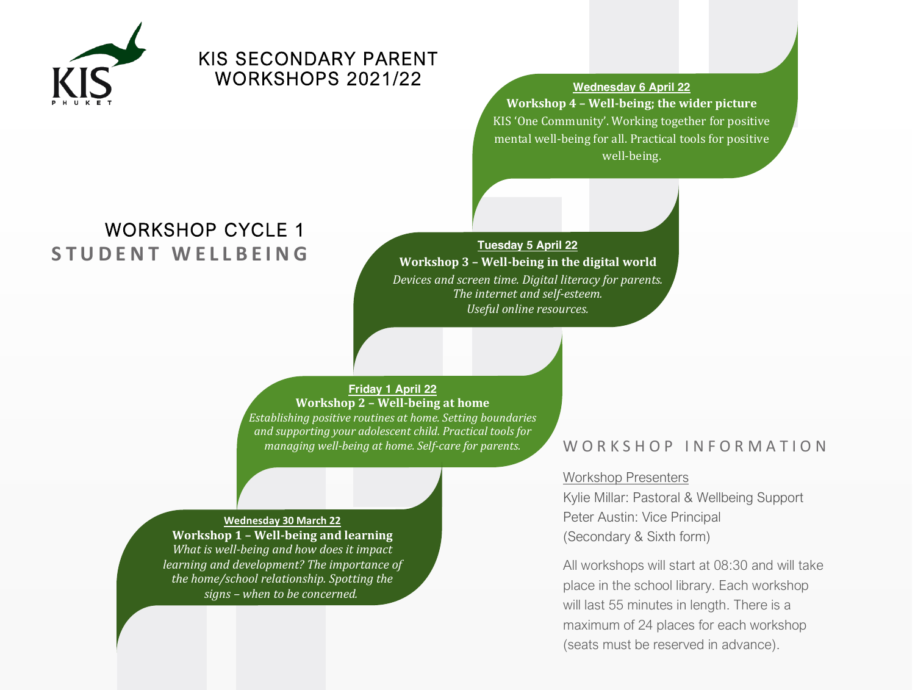

# KIS SECONDARY PARENT WORKSHOPS 2021/22 **Wednesday <sup>6</sup> April <sup>22</sup>**

**Workshop 4 Ȃ Well-being; the wider picture** KIS 'One Community'. Working together for positive mental well-being for all. Practical tools for positive well-being.

# **STUDENT WELLBEING** WORKSHOP CYCLE 1

**Tuesday 5 April 22 Workshop 3 Ȃ Well-being in the digital world** *Devices and screen time. Digital literacy for parents. The internet and self-esteem. Useful online resources.*

**Friday 1 April 22 Workshop 2 Ȃ Well-being at home**

*Establishing positive routines at home. Setting boundaries and supporting your adolescent child. Practical tools for managing well-being at home. Self-care for parents.*

## **Wednesday 30 March 22 Workshop 1 Ȃ Well-being and learning** *What is well-being and how does it impact learning and development? The importance of the home/school relationship. Spotting the signs Ȃ when to be concerned.*

## WORKSHOP INFORMATION

# Workshop Presenters

Kylie Millar: Pastoral & Wellbeing Support Peter Austin: Vice Principal (Secondary & Sixth form)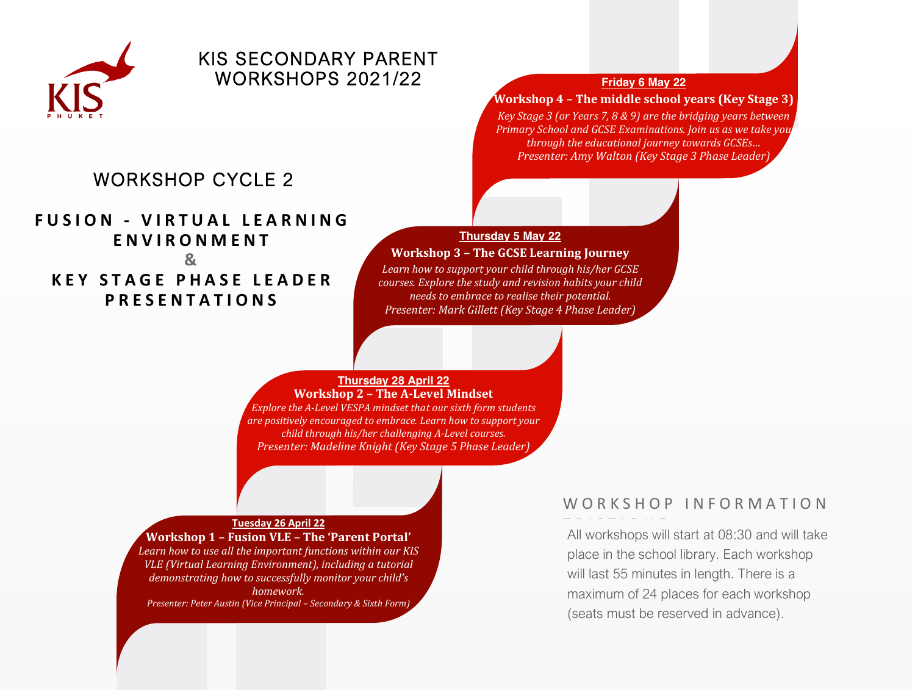

# KIS SECONDARY PARENT **WORKSHOPS 2021/22 Friday 6 May 22**

## **Workshop 4 Ȃ The middle school years (Key Stage 3)**

*Key Stage 3 (or Years 7, 8 & 9) are the bridging years between Primary School and GCSE Examinations. Join us as we take you through the educational journey towards ǥ Presenter: Amy Walton (Key Stage 3 Phase Leader)*

# WORKSHOP CYCLE 2

**FUSION - VIRTUAL LEARNING ENVIRONMENT & KEY STAGE PHASE LEADER PRESENTATIONS**

## **Thursday 5 May 22**

## **Workshop 3 Ȃ The GCSE Learning Journey**

*Learn how to support your child through his/her GCSE courses. Explore the study and revision habits your child needs to embrace to realise their potential. Presenter: Mark Gillett (Key Stage 4 Phase Leader)*

### **Thursday 28 April 22 Workshop 2 Ȃ The A-Level Mindset**

*Explore the A-Level VESPA mindset that our sixth form students are positively encouraged to embrace. Learn how to support your child through his/her challenging A-Level courses. Presenter: Madeline Knight (Key Stage 5 Phase Leader)*

### **Tuesday 26 April 22**

**Workshop 1 - Fusion VLE - The 'Parent Portal'** *Learn how to use all the important functions within our KIS VLE (Virtual Learning Environment), including a tutorial demonstrating how to successfully monitor your child's homework. Presenter: Peter Austin (Vice Principal Ȃ Secondary & Sixth Form)*

## WORKSHOP INFORMATION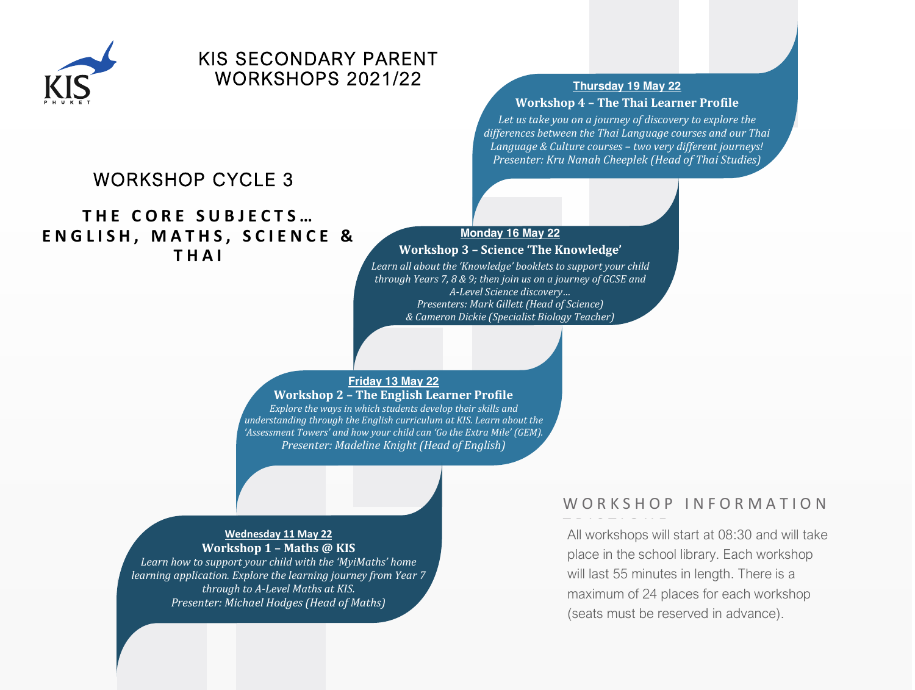

# KIS SECONDARY PARENT WORKSHOPS 2021/22 **Thursday <sup>19</sup> May <sup>22</sup>**

# **Workshop 4 Ȃ The Thai Learner Profile**

*Let us take you on a journey of discovery to explore the differences between the Thai Language courses and our Thai Language & Culture courses Ȃ two very different journeys! Presenter: Kru Nanah Cheeplek (Head of Thai Studies)*

# WORKSHOP CYCLE 3

## **THE CORE SUBJECTS... ENGLISH, MATHS, SCIENCE & THAI**

## **Monday 16 May 22**

## **Workshop 3 - Science 'The Knowledge'**

*Learn all about the Ǯǯ booklets to support your child through Years 7, 8 & 9; then join us on a journey of GCSE and A-Level Science ǥ Presenters: Mark Gillett (Head of Science) & Cameron Dickie (Specialist Biology Teacher)*

## **Friday 13 May 22**

**Workshop 2 Ȃ The English Learner Profile** *Explore the ways in which students develop their skills and understanding through the English curriculum at KIS. Learn about the Ǯ ǯ and how your child can Ǯ the Extra ǯ (GEM). Presenter: Madeline Knight (Head of English)*

## **Wednesday 11 May 22 Workshop 1 Ȃ Maths @ KIS**

*Learn how to support your child with the ǮMyiMathsǯ home learning application. Explore the learning journey from Year 7 through to A-Level Maths at KIS. Presenter: Michael Hodges (Head of Maths)*

## WORKSHOP INFORMATION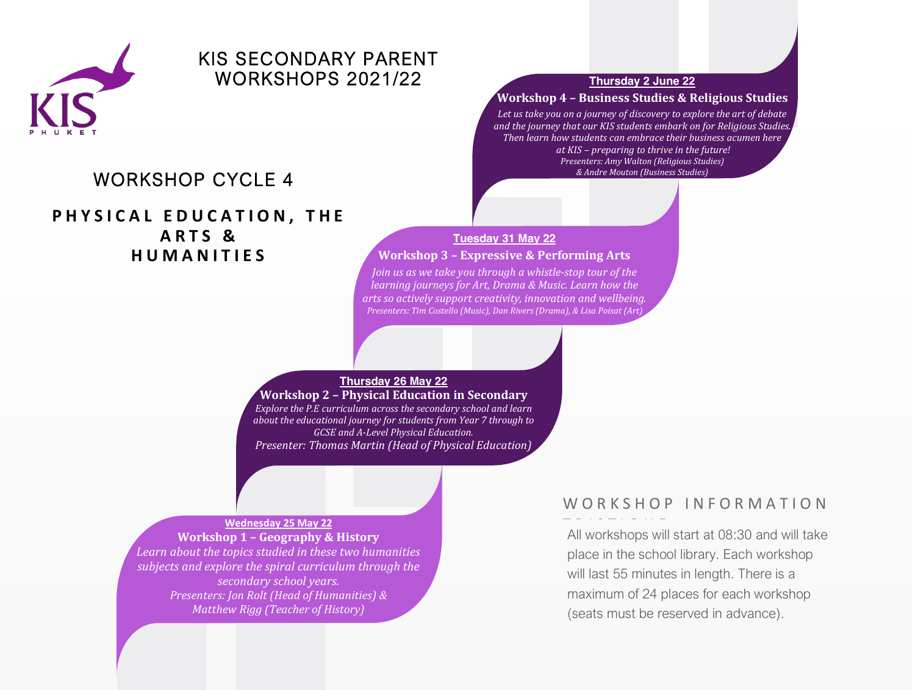

# KIS SECONDARY PARENT WORKSHOPS 2021/22 **Thursday <sup>2</sup> June <sup>22</sup>**

# WORKSHOP CYCLE 4

**PHYSICAL EDUCATION , THE ARTS & HUMANITIES**

## **Workshop 4 Ȃ Business Studies & Religious Studies**

*Let us take you on a journey of discovery to explore the art of debate and the journey that our KIS students embark on for Religious Studies. Then learn how students can embrace their business acumen here at KIS Ȃ preparing to thrive in the future! Presenters: Amy Walton (Religious Studies) & Andre Mouton (Business Studies)*

## **Tuesday 31 May 22 Workshop 3 Ȃ Expressive & Performing Arts**

*Join us as we take you through a whistle-stop tour of the learning journeys for Art, Drama & Music. Learn how the arts so actively support creativity, innovation and wellbeing. Presenters: Tim Costello (Music), Dan Rivers (Drama), & Lisa Poisat (Art)*

## **Thursday 26 May 22**

**Workshop 2 Ȃ Physical Education in Secondary** *Explore the P.E curriculum across the secondary school and learn about the educational journey for students from Year 7 through to GCSE and A-Level Physical Education. Presenter: Thomas Martin (Head of Physical Education)*

### **Wednesday 25 May 22**

**Workshop 1 Ȃ Geography & History**

*Learn about the topics studied in these two humanities subjects and explore the spiral curriculum through the secondary school years. Presenters: Jon Rolt (Head of Humanities) & Matthew Rigg (Teacher of History)*

## WORKSHOP INFORMATION